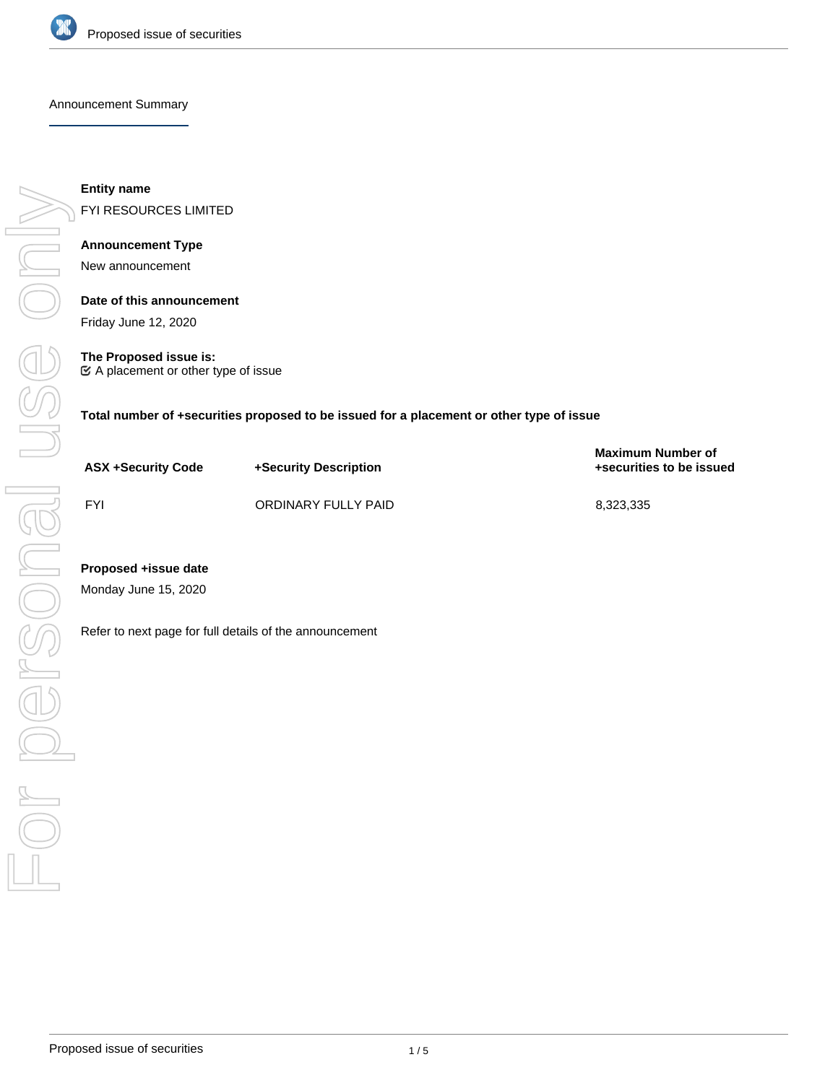

Announcement Summary

For personal use onlyUSS ON

**Entity name**

FYI RESOURCES LIMITED

# **Announcement Type**

New announcement

**Date of this announcement** Friday June 12, 2020

**The Proposed issue is:**  $\mathfrak C$  A placement or other type of issue

**Total number of +securities proposed to be issued for a placement or other type of issue**

| <b>ASX +Security Code</b>                               | +Security Description | <b>Maximum Number of</b><br>+securities to be issued |
|---------------------------------------------------------|-----------------------|------------------------------------------------------|
| <b>FYI</b>                                              | ORDINARY FULLY PAID   | 8,323,335                                            |
| Proposed +issue date<br>Monday June 15, 2020            |                       |                                                      |
| Refer to next page for full details of the announcement |                       |                                                      |
|                                                         |                       |                                                      |
|                                                         |                       |                                                      |
|                                                         |                       |                                                      |
|                                                         |                       |                                                      |
|                                                         |                       |                                                      |

# **Proposed +issue date**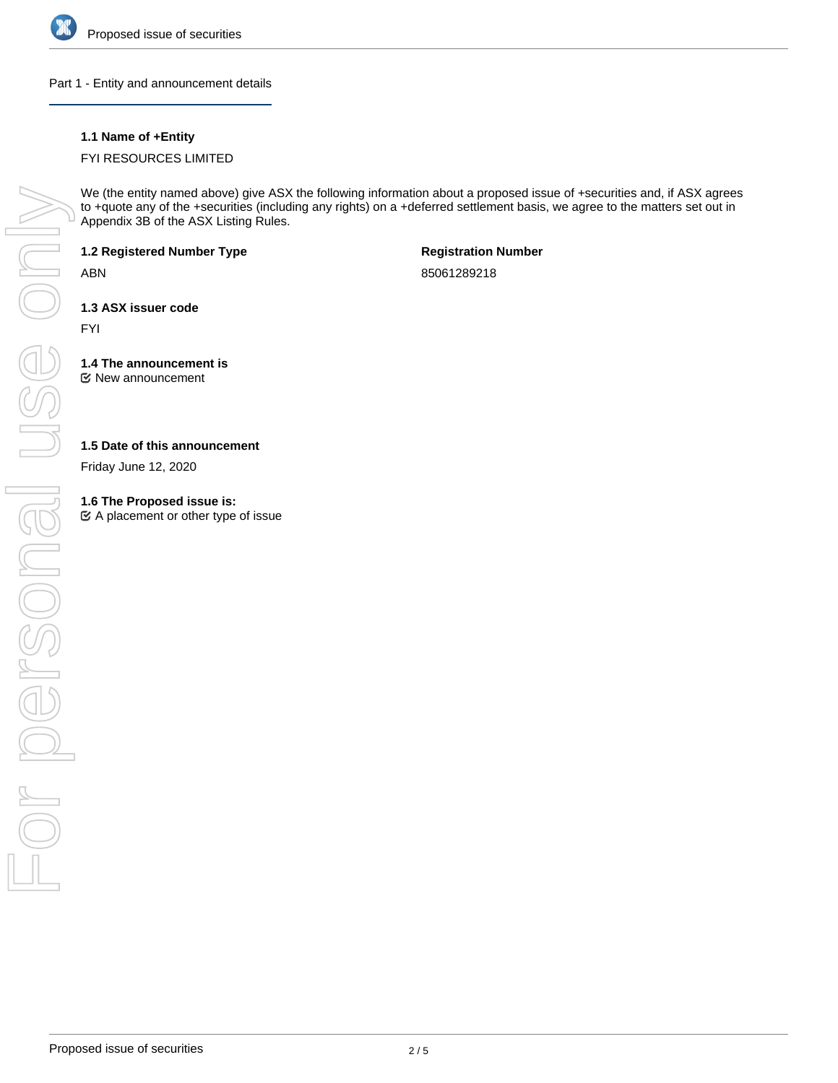

Part 1 - Entity and announcement details

## **1.1 Name of +Entity**

### FYI RESOURCES LIMITED

We (the entity named above) give ASX the following information about a proposed issue of +securities and, if ASX agrees to +quote any of the +securities (including any rights) on a +deferred settlement basis, we agree to the matters set out in Appendix 3B of the ASX Listing Rules.

**1.2 Registered Number Type**

ABN

**Registration Number**

85061289218

**1.3 ASX issuer code**

FYI

**1.4 The announcement is** New announcement

### **1.5 Date of this announcement**

Friday June 12, 2020

#### **1.6 The Proposed issue is:**

 $\mathfrak{C}$  A placement or other type of issue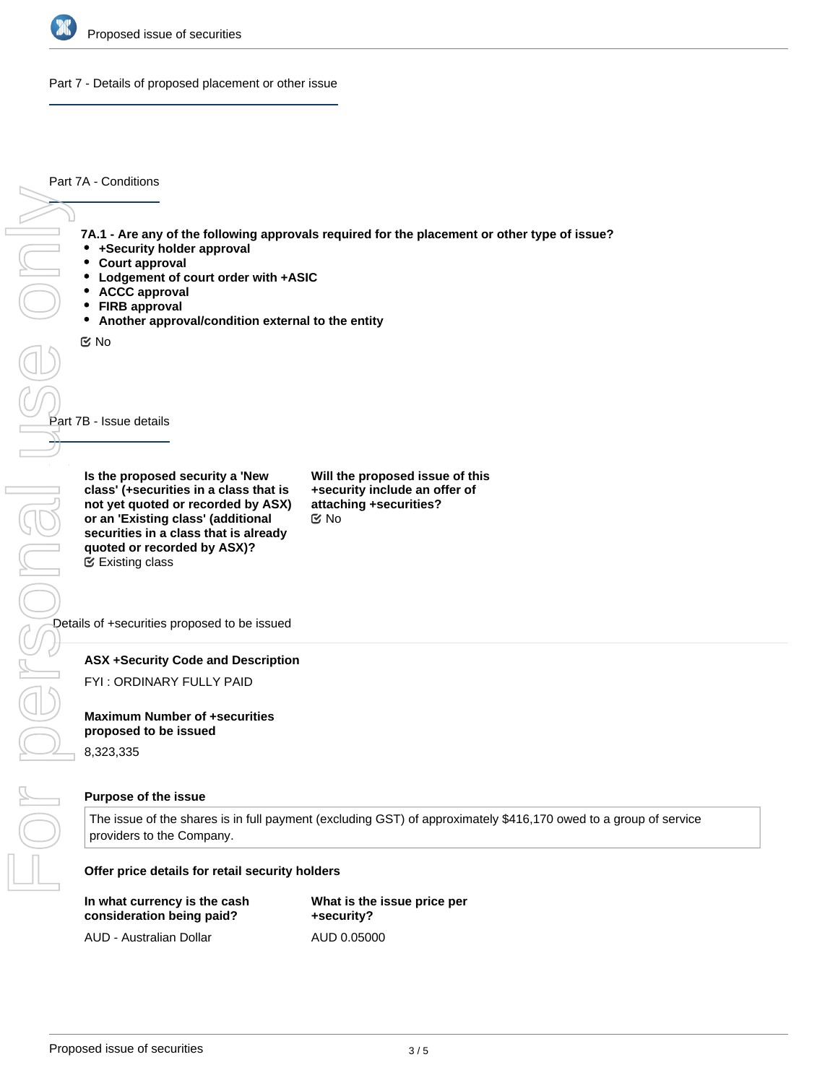

Part 7 - Details of proposed placement or other issue

Part 7A - Conditions

**7A.1 - Are any of the following approvals required for the placement or other type of issue?**

- **+Security holder approval**
- $\bullet$ **Court approval**
- $\bullet$ **Lodgement of court order with +ASIC**
- $\bullet$ **ACCC approval**
- $\bullet$ **FIRB approval**
- **Another approval/condition external to the entity**

No

Part 7B - Issue details

**Is the proposed security a 'New class' (+securities in a class that is not yet quoted or recorded by ASX) or an 'Existing class' (additional securities in a class that is already quoted or recorded by ASX)?** Existing class

**Will the proposed issue of this +security include an offer of attaching +securities?** No

Details of +securities proposed to be issued

#### **ASX +Security Code and Description**

FYI : ORDINARY FULLY PAID

**Maximum Number of +securities proposed to be issued**

8,323,335

#### **Purpose of the issue**

The issue of the shares is in full payment (excluding GST) of approximately \$416,170 owed to a group of service providers to the Company.

**Offer price details for retail security holders**

| In what currency is the cash | What is the issue price per |
|------------------------------|-----------------------------|
| consideration being paid?    | +security?                  |
| AUD - Australian Dollar      | AUD 0.05000                 |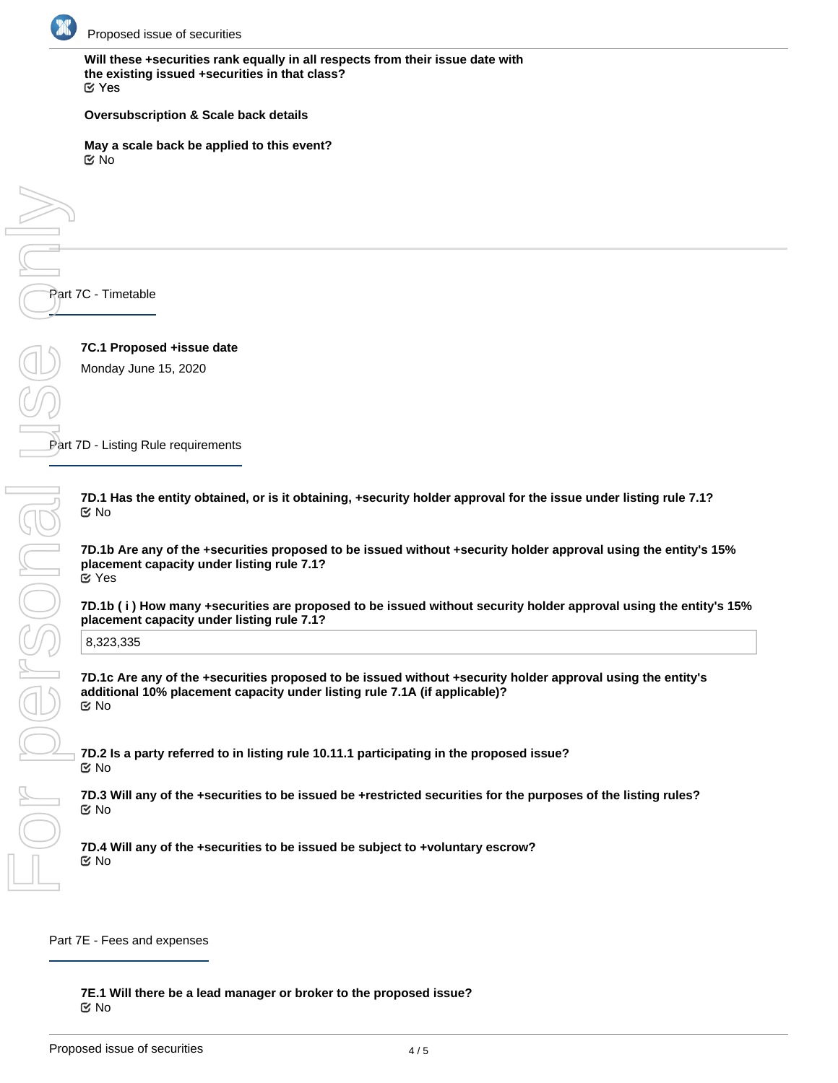

**Will these +securities rank equally in all respects from their issue date with the existing issued +securities in that class?** Yes

#### **Oversubscription & Scale back details**

**May a scale back be applied to this event?** No

Part 7C - Timetable

**7C.1 Proposed +issue date** Monday June 15, 2020

Part 7D - Listing Rule requirements

**7D.1 Has the entity obtained, or is it obtaining, +security holder approval for the issue under listing rule 7.1?** No

**7D.1b Are any of the +securities proposed to be issued without +security holder approval using the entity's 15% placement capacity under listing rule 7.1?** Yes

**7D.1b ( i ) How many +securities are proposed to be issued without security holder approval using the entity's 15% placement capacity under listing rule 7.1?**

8,323,335

**7D.1c Are any of the +securities proposed to be issued without +security holder approval using the entity's additional 10% placement capacity under listing rule 7.1A (if applicable)?** No

**7D.2 Is a party referred to in listing rule 10.11.1 participating in the proposed issue?** No

**7D.3 Will any of the +securities to be issued be +restricted securities for the purposes of the listing rules?** No

**7D.4 Will any of the +securities to be issued be subject to +voluntary escrow?** No

Part 7E - Fees and expenses

**7E.1 Will there be a lead manager or broker to the proposed issue?** No